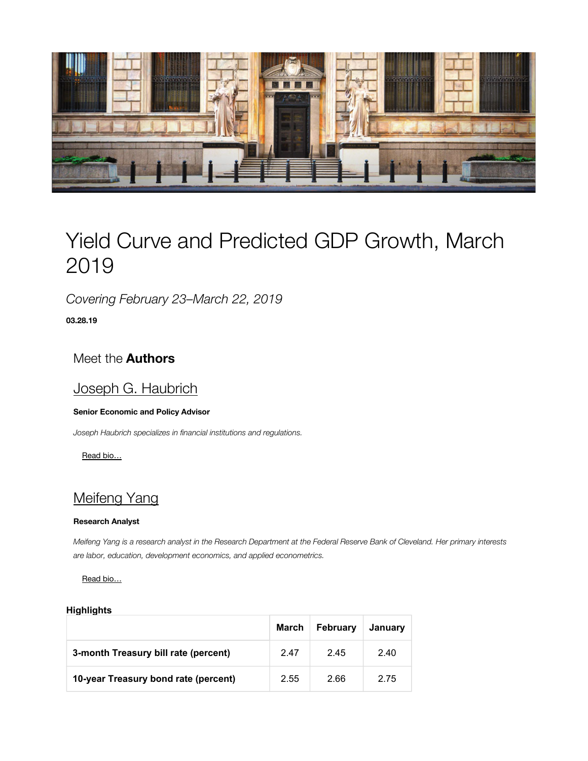

# Yield Curve and Predicted GDP Growth, March 2019

Covering February 23–March 22, 2019

03.28.19

## Meet the Authors

## Joseph G. Haubrich

#### Senior Economic and Policy Advisor

Joseph Haubrich specializes in financial institutions and regulations.

Read bio…

## Meifeng Yang

#### Research Analyst

Meifeng Yang is a research analyst in the Research Department at the Federal Reserve Bank of Cleveland. Her primary interests are labor, education, development economics, and applied econometrics.

Read bio...

#### **Highlights**

|                                      | March | <b>February</b> | January |
|--------------------------------------|-------|-----------------|---------|
| 3-month Treasury bill rate (percent) | 2.47  | 2.45            | 2.40    |
| 10-year Treasury bond rate (percent) | 2.55  | 2.66            | 2.75    |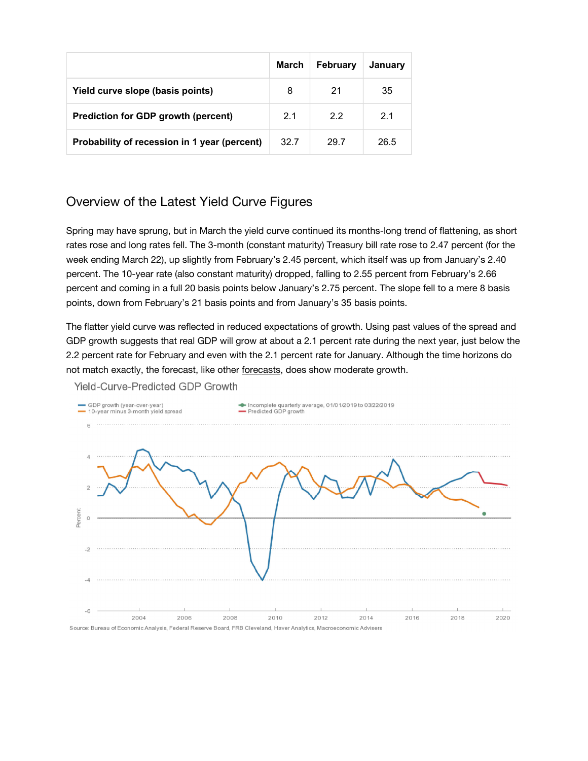|                                              | March | February | January |
|----------------------------------------------|-------|----------|---------|
| Yield curve slope (basis points)             | 8     | 21       | 35      |
| <b>Prediction for GDP growth (percent)</b>   | 2.1   | 22       | 2.1     |
| Probability of recession in 1 year (percent) | 32.7  | 29.7     | 26.5    |

## Overview of the Latest Yield Curve Figures

Spring may have sprung, but in March the yield curve continued its months-long trend of flattening, as short rates rose and long rates fell. The 3-month (constant maturity) Treasury bill rate rose to 2.47 percent (for the week ending March 22), up slightly from February's 2.45 percent, which itself was up from January's 2.40 percent. The 10-year rate (also constant maturity) dropped, falling to 2.55 percent from February's 2.66 percent and coming in a full 20 basis points below January's 2.75 percent. The slope fell to a mere 8 basis points, down from February's 21 basis points and from January's 35 basis points.

The flatter yield curve was reflected in reduced expectations of growth. Using past values of the spread and GDP growth suggests that real GDP will grow at about a 2.1 percent rate during the next year, just below the 2.2 percent rate for February and even with the 2.1 percent rate for January. Although the time horizons do not match exactly, the forecast, like other forecasts, does show moderate growth.

Yield-Curve-Predicted GDP Growth

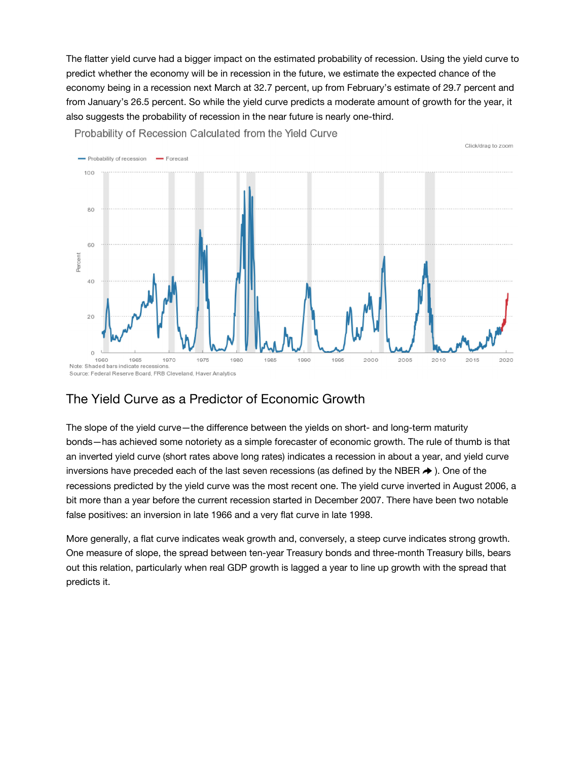The flatter yield curve had a bigger impact on the estimated probability of recession. Using the yield curve to predict whether the economy will be in recession in the future, we estimate the expected chance of the economy being in a recession next March at 32.7 percent, up from February's estimate of 29.7 percent and from January's 26.5 percent. So while the yield curve predicts a moderate amount of growth for the year, it also suggests the probability of recession in the near future is nearly one-third.



Probability of Recession Calculated from the Yield Curve

### The Yield Curve as a Predictor of Economic Growth

The slope of the yield curve—the difference between the yields on short- and long-term maturity bonds—has achieved some notoriety as a simple forecaster of economic growth. The rule of thumb is that an inverted yield curve (short rates above long rates) indicates a recession in about a year, and yield curve inversions have preceded each of the last seven recessions (as defined by the NBER  $\rightarrow$  ). One of the recessions predicted by the yield curve was the most recent one. The yield curve inverted in August 2006, a bit more than a year before the current recession started in December 2007. There have been two notable false positives: an inversion in late 1966 and a very flat curve in late 1998.

More generally, a flat curve indicates weak growth and, conversely, a steep curve indicates strong growth. One measure of slope, the spread between ten-year Treasury bonds and three-month Treasury bills, bears out this relation, particularly when real GDP growth is lagged a year to line up growth with the spread that predicts it.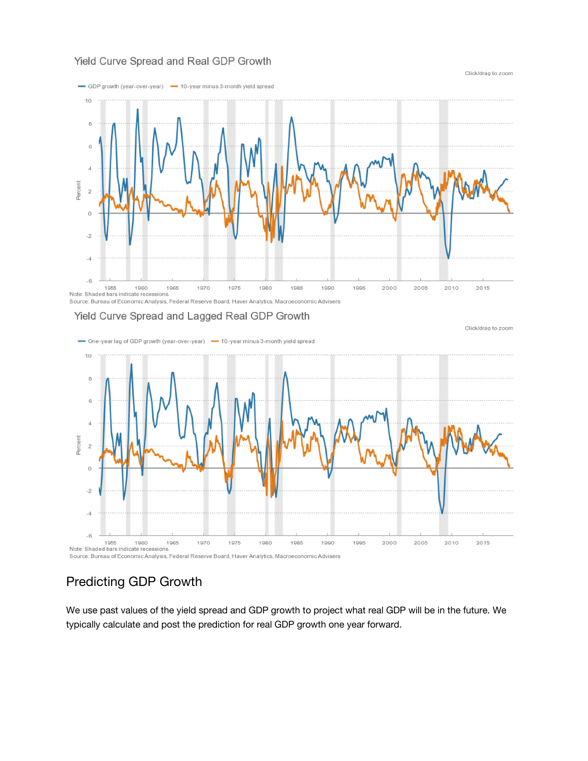#### Yield Curve Spread and Real GDP Growth



Source: Bureau of Economic Analysis, Federal Reserve Board, Haver Analytics, Macroeconomic Advisers

#### Yield Curve Spread and Lagged Real GDP Growth

- One-year lag of GDP growth (year-over-year) - 10-year minus 3-month yield spread 10 8 6  $\overline{4}$ Percent  $\overline{2}$  $\circ$  $-2$  $-4$ -6 !!<br>! Note: Shaded bars indicate recessions 1965 1970 1975 1980 1985 1990 1995 2000 2005 2010 2015

Source: Bureau of Economic Analysis, Federal Reserve Board, Haver Analytics, Macroeconomic Advisers

## Predicting GDP Growth

We use past values of the yield spread and GDP growth to project what real GDP will be in the future. We typically calculate and post the prediction for real GDP growth one year forward.

#### Click/drag to zoom

Click/drag to zoom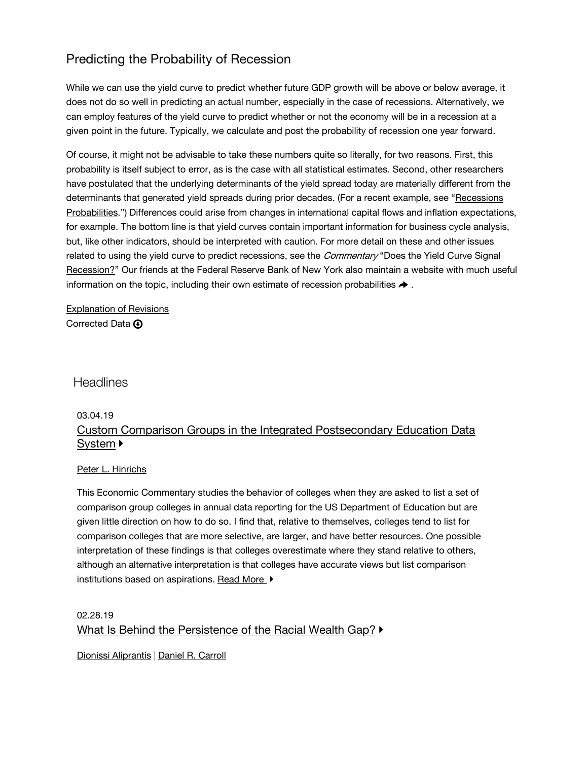## Predicting the Probability of Recession

While we can use the yield curve to predict whether future GDP growth will be above or below average, it does not do so well in predicting an actual number, especially in the case of recessions. Alternatively, we can employ features of the yield curve to predict whether or not the economy will be in a recession at a given point in the future. Typically, we calculate and post the probability of recession one year forward.

Of course, it might not be advisable to take these numbers quite so literally, for two reasons. First, this probability is itself subject to error, as is the case with all statistical estimates. Second, other researchers have postulated that the underlying determinants of the yield spread today are materially different from the determinants that generated yield spreads during prior decades. (For a recent example, see "Recessions Probabilities.") Differences could arise from changes in international capital flows and inflation expectations, for example. The bottom line is that yield curves contain important information for business cycle analysis, but, like other indicators, should be interpreted with caution. For more detail on these and other issues related to using the yield curve to predict recessions, see the *Commentary* "Does the Yield Curve Signal Recession?" Our friends at the Federal Reserve Bank of New York also maintain a website with much useful information on the topic, including their own estimate of recession probabilities  $\rightarrow$ .

**Explanation of Revisions** Corrected Data  $\bigcirc$ 

#### **Headlines**

#### 03.04.19

### Custom Comparison Groups in the Integrated Postsecondary Education Data **System** ▶

#### Peter L. Hinrichs

This Economic Commentary studies the behavior of colleges when they are asked to list a set of comparison group colleges in annual data reporting for the US Department of Education but are given little direction on how to do so. I find that, relative to themselves, colleges tend to list for comparison colleges that are more selective, are larger, and have better resources. One possible interpretation of these findings is that colleges overestimate where they stand relative to others, although an alternative interpretation is that colleges have accurate views but list comparison institutions based on aspirations. Read More ▶

### 02.28.19 What Is Behind the Persistence of the Racial Wealth Gap?  $\blacktriangleright$

Dionissi Aliprantis | Daniel R. Carroll